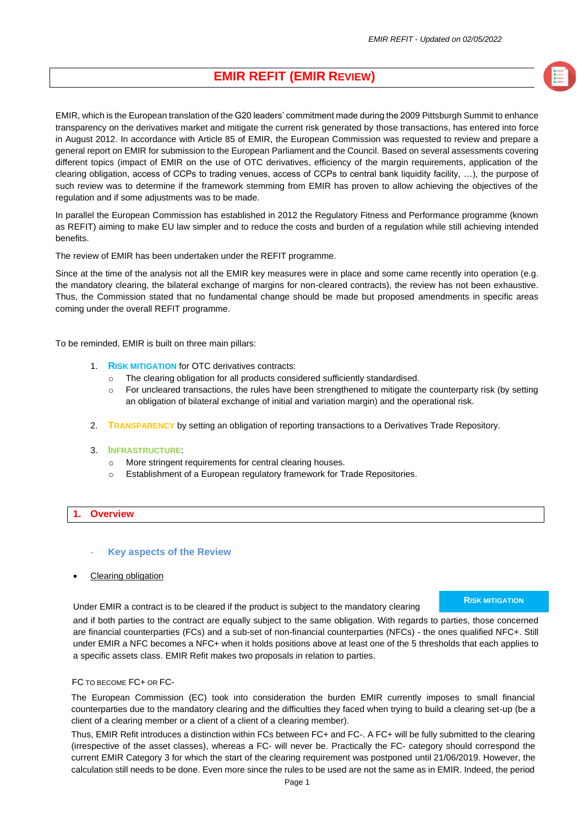# **EMIR REFIT (EMIR REVIEW)**

EMIR, which is the European translation of the G20 leaders' commitment made during the 2009 Pittsburgh Summit to enhance transparency on the derivatives market and mitigate the current risk generated by those transactions, has entered into force in August 2012. In accordance with Article 85 of EMIR, the European Commission was requested to review and prepare a general report on EMIR for submission to the European Parliament and the Council. Based on several assessments covering different topics (impact of EMIR on the use of OTC derivatives, efficiency of the margin requirements, application of the clearing obligation, access of CCPs to trading venues, access of CCPs to central bank liquidity facility, …), the purpose of such review was to determine if the framework stemming from EMIR has proven to allow achieving the objectives of the regulation and if some adjustments was to be made.

In parallel the European Commission has established in 2012 the Regulatory Fitness and Performance programme (known as REFIT) aiming to make EU law simpler and to reduce the costs and burden of a regulation while still achieving intended benefits.

The review of EMIR has been undertaken under the REFIT programme.

Since at the time of the analysis not all the EMIR key measures were in place and some came recently into operation (e.g. the mandatory clearing, the bilateral exchange of margins for non-cleared contracts), the review has not been exhaustive. Thus, the Commission stated that no fundamental change should be made but proposed amendments in specific areas coming under the overall REFIT programme.

To be reminded, EMIR is built on three main pillars:

- 1. **RISK MITIGATION** for OTC derivatives contracts:
	- o The clearing obligation for all products considered sufficiently standardised.
	- $\circ$  For uncleared transactions, the rules have been strengthened to mitigate the counterparty risk (by setting an obligation of bilateral exchange of initial and variation margin) and the operational risk.
- 2. **TRANSPARENCY** by setting an obligation of reporting transactions to a Derivatives Trade Repository.
- 3. **INFRASTRUCTURE**:
	- o More stringent requirements for central clearing houses.
	- o Establishment of a European regulatory framework for Trade Repositories.

#### **1. Overview**

- **Key aspects of the Review**
- Clearing obligation

Under EMIR a contract is to be cleared if the product is subject to the mandatory clearing

## **RISK MITIGATION**

and if both parties to the contract are equally subject to the same obligation. With regards to parties, those concerned are financial counterparties (FCs) and a sub-set of non-financial counterparties (NFCs) - the ones qualified NFC+. Still under EMIR a NFC becomes a NFC+ when it holds positions above at least one of the 5 thresholds that each applies to a specific assets class. EMIR Refit makes two proposals in relation to parties.

#### FC TO BECOME FC+ OR FC-

The European Commission (EC) took into consideration the burden EMIR currently imposes to small financial counterparties due to the mandatory clearing and the difficulties they faced when trying to build a clearing set-up (be a client of a clearing member or a client of a client of a clearing member).

Thus, EMIR Refit introduces a distinction within FCs between FC+ and FC-. A FC+ will be fully submitted to the clearing (irrespective of the asset classes), whereas a FC- will never be. Practically the FC- category should correspond the current EMIR Category 3 for which the start of the clearing requirement was postponed until 21/06/2019. However, the calculation still needs to be done. Even more since the rules to be used are not the same as in EMIR. Indeed, the period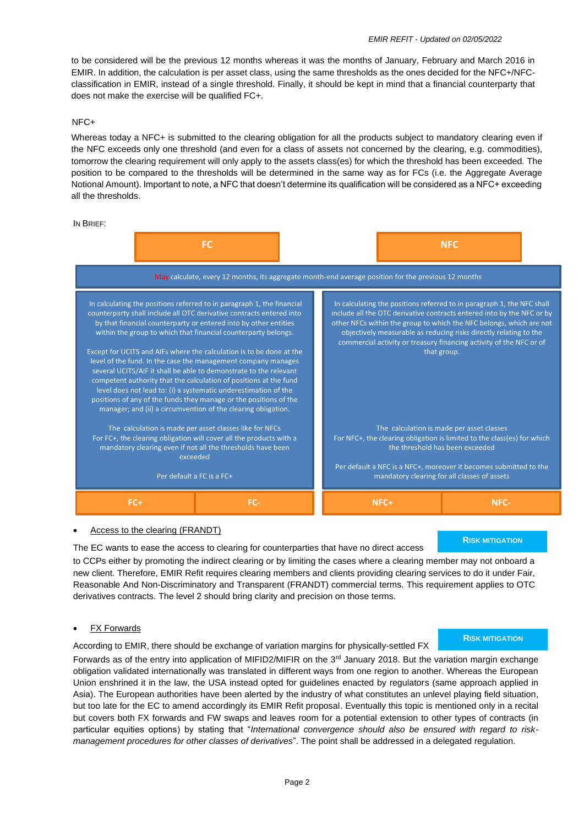to be considered will be the previous 12 months whereas it was the months of January, February and March 2016 in EMIR. In addition, the calculation is per asset class, using the same thresholds as the ones decided for the NFC+/NFCclassification in EMIR, instead of a single threshold. Finally, it should be kept in mind that a financial counterparty that does not make the exercise will be qualified FC+.

# NFC+

Whereas today a NFC+ is submitted to the clearing obligation for all the products subject to mandatory clearing even if the NFC exceeds only one threshold (and even for a class of assets not concerned by the clearing, e.g. commodities), tomorrow the clearing requirement will only apply to the assets class(es) for which the threshold has been exceeded. The position to be compared to the thresholds will be determined in the same way as for FCs (i.e. the Aggregate Average Notional Amount). Important to note, a NFC that doesn't determine its qualification will be considered as a NFC+ exceeding all the thresholds.

IN BRIEF:



### • Access to the clearing (FRANDT)

The EC wants to ease the access to clearing for counterparties that have no direct access

**RISK MITIGATION**

to CCPs either by promoting the indirect clearing or by limiting the cases where a clearing member may not onboard a new client. Therefore, EMIR Refit requires clearing members and clients providing clearing services to do it under Fair, Reasonable And Non-Discriminatory and Transparent (FRANDT) commercial terms. This requirement applies to OTC derivatives contracts. The level 2 should bring clarity and precision on those terms.

# **FX Forwards**

According to EMIR, there should be exchange of variation margins for physically-settled FX

# **RISK MITIGATION**

Forwards as of the entry into application of MIFID2/MIFIR on the 3<sup>rd</sup> January 2018. But the variation margin exchange obligation validated internationally was translated in different ways from one region to another. Whereas the European Union enshrined it in the law, the USA instead opted for guidelines enacted by regulators (same approach applied in Asia). The European authorities have been alerted by the industry of what constitutes an unlevel playing field situation, but too late for the EC to amend accordingly its EMIR Refit proposal. Eventually this topic is mentioned only in a recital but covers both FX forwards and FW swaps and leaves room for a potential extension to other types of contracts (in particular equities options) by stating that "*International convergence should also be ensured with regard to riskmanagement procedures for other classes of derivatives*". The point shall be addressed in a delegated regulation.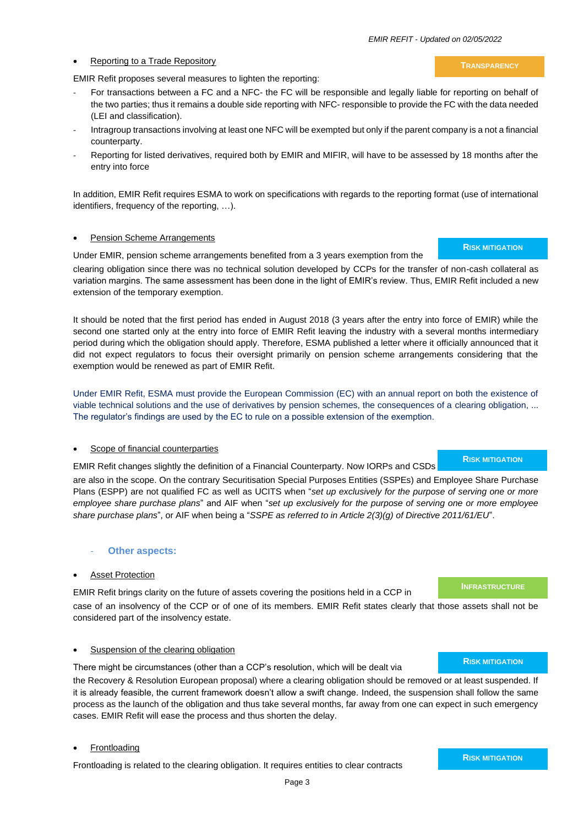#### **Reporting to a Trade Repository**

EMIR Refit proposes several measures to lighten the reporting:

- For transactions between a FC and a NFC- the FC will be responsible and legally liable for reporting on behalf of the two parties; thus it remains a double side reporting with NFC- responsible to provide the FC with the data needed (LEI and classification).
- Intragroup transactions involving at least one NFC will be exempted but only if the parent company is a not a financial counterparty.
- Reporting for listed derivatives, required both by EMIR and MIFIR, will have to be assessed by 18 months after the entry into force

In addition, EMIR Refit requires ESMA to work on specifications with regards to the reporting format (use of international identifiers, frequency of the reporting, …).

#### Pension Scheme Arrangements

Under EMIR, pension scheme arrangements benefited from a 3 years exemption from the

clearing obligation since there was no technical solution developed by CCPs for the transfer of non-cash collateral as variation margins. The same assessment has been done in the light of EMIR's review. Thus, EMIR Refit included a new extension of the temporary exemption.

It should be noted that the first period has ended in August 2018 (3 years after the entry into force of EMIR) while the second one started only at the entry into force of EMIR Refit leaving the industry with a several months intermediary period during which the obligation should apply. Therefore, ESMA published a letter where it officially announced that it did not expect regulators to focus their oversight primarily on pension scheme arrangements considering that the exemption would be renewed as part of EMIR Refit.

Under EMIR Refit, ESMA must provide the European Commission (EC) with an annual report on both the existence of viable technical solutions and the use of derivatives by pension schemes, the consequences of a clearing obligation, ... The regulator's findings are used by the EC to rule on a possible extension of the exemption.

#### Scope of financial counterparties

EMIR Refit changes slightly the definition of a Financial Counterparty. Now IORPs and CSDs

are also in the scope. On the contrary Securitisation Special Purposes Entities (SSPEs) and Employee Share Purchase Plans (ESPP) are not qualified FC as well as UCITS when "*set up exclusively for the purpose of serving one or more employee share purchase plans*" and AIF when "*set up exclusively for the purpose of serving one or more employee share purchase plans*", or AIF when being a "*SSPE as referred to in Article 2(3)(g) of Directive 2011/61/EU*".

### **Other aspects:**

#### **Asset Protection**

EMIR Refit brings clarity on the future of assets covering the positions held in a CCP in case of an insolvency of the CCP or of one of its members. EMIR Refit states clearly that those assets shall not be considered part of the insolvency estate.

#### Suspension of the clearing obligation

There might be circumstances (other than a CCP's resolution, which will be dealt via

the Recovery & Resolution European proposal) where a clearing obligation should be removed or at least suspended. If it is already feasible, the current framework doesn't allow a swift change. Indeed, the suspension shall follow the same process as the launch of the obligation and thus take several months, far away from one can expect in such emergency cases. EMIR Refit will ease the process and thus shorten the delay.

#### **Frontloading**

Frontloading is related to the clearing obligation. It requires entities to clear contracts

**RISK MITIGATION**

#### **INFRASTRUCTURE**

**RISK MITIGATION**



**TRANSPARENCY**

**RISK MITIGATION**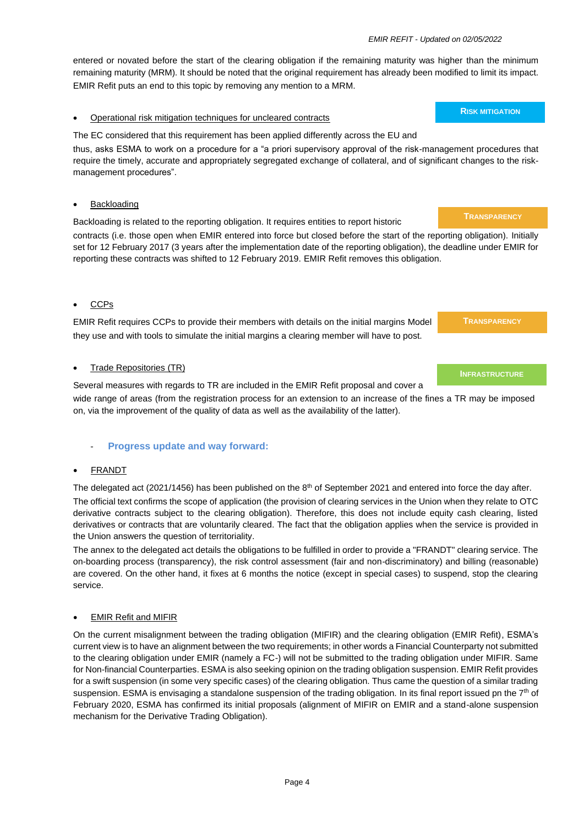entered or novated before the start of the clearing obligation if the remaining maturity was higher than the minimum remaining maturity (MRM). It should be noted that the original requirement has already been modified to limit its impact. EMIR Refit puts an end to this topic by removing any mention to a MRM.

### • Operational risk mitigation techniques for uncleared contracts

### The EC considered that this requirement has been applied differently across the EU and

thus, asks ESMA to work on a procedure for a "a priori supervisory approval of the risk-management procedures that require the timely, accurate and appropriately segregated exchange of collateral, and of significant changes to the riskmanagement procedures".

## **Backloading**

Backloading is related to the reporting obligation. It requires entities to report historic contracts (i.e. those open when EMIR entered into force but closed before the start of the reporting obligation). Initially set for 12 February 2017 (3 years after the implementation date of the reporting obligation), the deadline under EMIR for

reporting these contracts was shifted to 12 February 2019. EMIR Refit removes this obligation.

### • CCPs

EMIR Refit requires CCPs to provide their members with details on the initial margins Model they use and with tools to simulate the initial margins a clearing member will have to post.

### **Trade Repositories (TR)**

Several measures with regards to TR are included in the EMIR Refit proposal and cover a wide range of areas (from the registration process for an extension to an increase of the fines a TR may be imposed on, via the improvement of the quality of data as well as the availability of the latter).

# - **Progress update and way forward:**

#### • FRANDT

The delegated act (2021/1456) has been published on the 8<sup>th</sup> of September 2021 and entered into force the day after.

The official text confirms the scope of application (the provision of clearing services in the Union when they relate to OTC derivative contracts subject to the clearing obligation). Therefore, this does not include equity cash clearing, listed derivatives or contracts that are voluntarily cleared. The fact that the obligation applies when the service is provided in the Union answers the question of territoriality.

The annex to the delegated act details the obligations to be fulfilled in order to provide a "FRANDT" clearing service. The on-boarding process (transparency), the risk control assessment (fair and non-discriminatory) and billing (reasonable) are covered. On the other hand, it fixes at 6 months the notice (except in special cases) to suspend, stop the clearing service.

#### • EMIR Refit and MIFIR

On the current misalignment between the trading obligation (MIFIR) and the clearing obligation (EMIR Refit), ESMA's current view is to have an alignment between the two requirements; in other words a Financial Counterparty not submitted to the clearing obligation under EMIR (namely a FC-) will not be submitted to the trading obligation under MIFIR. Same for Non-financial Counterparties. ESMA is also seeking opinion on the trading obligation suspension. EMIR Refit provides for a swift suspension (in some very specific cases) of the clearing obligation. Thus came the question of a similar trading suspension. ESMA is envisaging a standalone suspension of the trading obligation. In its final report issued pn the  $7<sup>th</sup>$  of February 2020, ESMA has confirmed its initial proposals (alignment of MIFIR on EMIR and a stand-alone suspension mechanism for the Derivative Trading Obligation).

#### **TRANSPARENCY**

#### **INFRASTRUCTURE**

# **RISK MITIGATION**

# **TRANSPARENCY**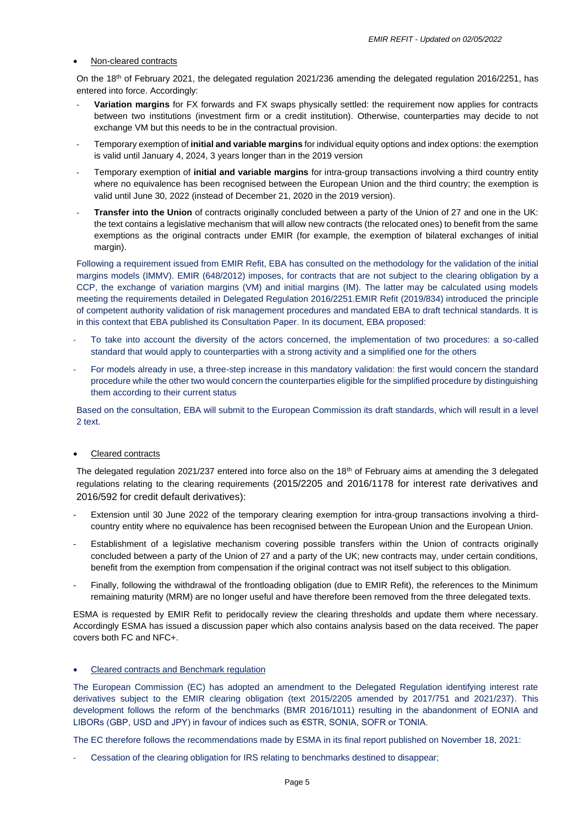#### • Non-cleared contracts

On the 18th of February 2021, the delegated regulation 2021/236 amending the delegated regulation 2016/2251, has entered into force. Accordingly:

- **Variation margins** for FX forwards and FX swaps physically settled: the requirement now applies for contracts between two institutions (investment firm or a credit institution). Otherwise, counterparties may decide to not exchange VM but this needs to be in the contractual provision.
- Temporary exemption of **initial and variable margins** for individual equity options and index options: the exemption is valid until January 4, 2024, 3 years longer than in the 2019 version
- Temporary exemption of **initial and variable margins** for intra-group transactions involving a third country entity where no equivalence has been recognised between the European Union and the third country; the exemption is valid until June 30, 2022 (instead of December 21, 2020 in the 2019 version).
- **Transfer into the Union** of contracts originally concluded between a party of the Union of 27 and one in the UK: the text contains a legislative mechanism that will allow new contracts (the relocated ones) to benefit from the same exemptions as the original contracts under EMIR (for example, the exemption of bilateral exchanges of initial margin).

Following a requirement issued from EMIR Refit, EBA has consulted on the methodology for the validation of the initial margins models (IMMV). EMIR (648/2012) imposes, for contracts that are not subject to the clearing obligation by a CCP, the exchange of variation margins (VM) and initial margins (IM). The latter may be calculated using models meeting the requirements detailed in Delegated Regulation 2016/2251.EMIR Refit (2019/834) introduced the principle of competent authority validation of risk management procedures and mandated EBA to draft technical standards. It is in this context that EBA published its Consultation Paper. In its document, EBA proposed:

- To take into account the diversity of the actors concerned, the implementation of two procedures: a so-called standard that would apply to counterparties with a strong activity and a simplified one for the others
- For models already in use, a three-step increase in this mandatory validation: the first would concern the standard procedure while the other two would concern the counterparties eligible for the simplified procedure by distinguishing them according to their current status

Based on the consultation, EBA will submit to the European Commission its draft standards, which will result in a level 2 text.

# Cleared contracts

The delegated regulation 2021/237 entered into force also on the 18th of February aims at amending the 3 delegated regulations relating to the clearing requirements (2015/2205 and 2016/1178 for interest rate derivatives and 2016/592 for credit default derivatives):

- Extension until 30 June 2022 of the temporary clearing exemption for intra-group transactions involving a thirdcountry entity where no equivalence has been recognised between the European Union and the European Union.
- Establishment of a legislative mechanism covering possible transfers within the Union of contracts originally concluded between a party of the Union of 27 and a party of the UK; new contracts may, under certain conditions, benefit from the exemption from compensation if the original contract was not itself subject to this obligation.
- Finally, following the withdrawal of the frontloading obligation (due to EMIR Refit), the references to the Minimum remaining maturity (MRM) are no longer useful and have therefore been removed from the three delegated texts.

ESMA is requested by EMIR Refit to peridocally review the clearing thresholds and update them where necessary. Accordingly ESMA has issued a discussion paper which also contains analysis based on the data received. The paper covers both FC and NFC+.

# • Cleared contracts and Benchmark regulation

The European Commission (EC) has adopted an amendment to the Delegated Regulation identifying interest rate derivatives subject to the EMIR clearing obligation (text 2015/2205 amended by 2017/751 and 2021/237). This development follows the reform of the benchmarks (BMR 2016/1011) resulting in the abandonment of EONIA and LIBORs (GBP, USD and JPY) in favour of indices such as €STR, SONIA, SOFR or TONIA.

The EC therefore follows the recommendations made by ESMA in its final report published on November 18, 2021:

Cessation of the clearing obligation for IRS relating to benchmarks destined to disappear;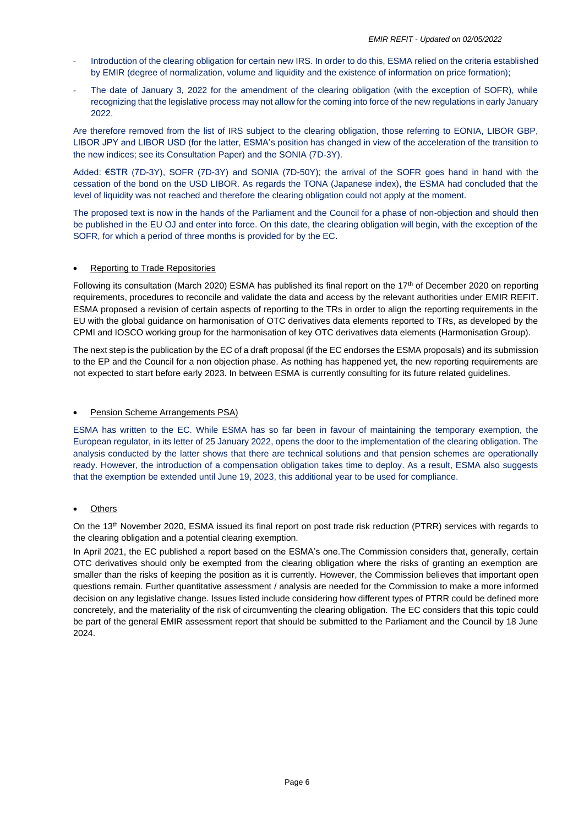- Introduction of the clearing obligation for certain new IRS. In order to do this, ESMA relied on the criteria established by EMIR (degree of normalization, volume and liquidity and the existence of information on price formation);
- The date of January 3, 2022 for the amendment of the clearing obligation (with the exception of SOFR), while recognizing that the legislative process may not allow for the coming into force of the new regulations in early January 2022.

Are therefore removed from the list of IRS subject to the clearing obligation, those referring to EONIA, LIBOR GBP, LIBOR JPY and LIBOR USD (for the latter, ESMA's position has changed in view of the acceleration of the transition to the new indices; see its Consultation Paper) and the SONIA (7D-3Y).

Added: €STR (7D-3Y), SOFR (7D-3Y) and SONIA (7D-50Y); the arrival of the SOFR goes hand in hand with the cessation of the bond on the USD LIBOR. As regards the TONA (Japanese index), the ESMA had concluded that the level of liquidity was not reached and therefore the clearing obligation could not apply at the moment.

The proposed text is now in the hands of the Parliament and the Council for a phase of non-objection and should then be published in the EU OJ and enter into force. On this date, the clearing obligation will begin, with the exception of the SOFR, for which a period of three months is provided for by the EC.

# **Reporting to Trade Repositories**

Following its consultation (March 2020) ESMA has published its final report on the 17<sup>th</sup> of December 2020 on reporting requirements, procedures to reconcile and validate the data and access by the relevant authorities under EMIR REFIT. ESMA proposed a revision of certain aspects of reporting to the TRs in order to align the reporting requirements in the EU with the global guidance on harmonisation of OTC derivatives data elements reported to TRs, as developed by the CPMI and IOSCO working group for the harmonisation of key OTC derivatives data elements (Harmonisation Group).

The next step is the publication by the EC of a draft proposal (if the EC endorses the ESMA proposals) and its submission to the EP and the Council for a non objection phase. As nothing has happened yet, the new reporting requirements are not expected to start before early 2023. In between ESMA is currently consulting for its future related guidelines.

#### • Pension Scheme Arrangements PSA)

ESMA has written to the EC. While ESMA has so far been in favour of maintaining the temporary exemption, the European regulator, in its letter of 25 January 2022, opens the door to the implementation of the clearing obligation. The analysis conducted by the latter shows that there are technical solutions and that pension schemes are operationally ready. However, the introduction of a compensation obligation takes time to deploy. As a result, ESMA also suggests that the exemption be extended until June 19, 2023, this additional year to be used for compliance.

# **Others**

On the 13<sup>th</sup> November 2020, ESMA issued its final report on post trade risk reduction (PTRR) services with regards to the clearing obligation and a potential clearing exemption.

In April 2021, the EC published a report based on the ESMA's one. The Commission considers that, generally, certain OTC derivatives should only be exempted from the clearing obligation where the risks of granting an exemption are smaller than the risks of keeping the position as it is currently. However, the Commission believes that important open questions remain. Further quantitative assessment / analysis are needed for the Commission to make a more informed decision on any legislative change. Issues listed include considering how different types of PTRR could be defined more concretely, and the materiality of the risk of circumventing the clearing obligation. The EC considers that this topic could be part of the general EMIR assessment report that should be submitted to the Parliament and the Council by 18 June 2024.